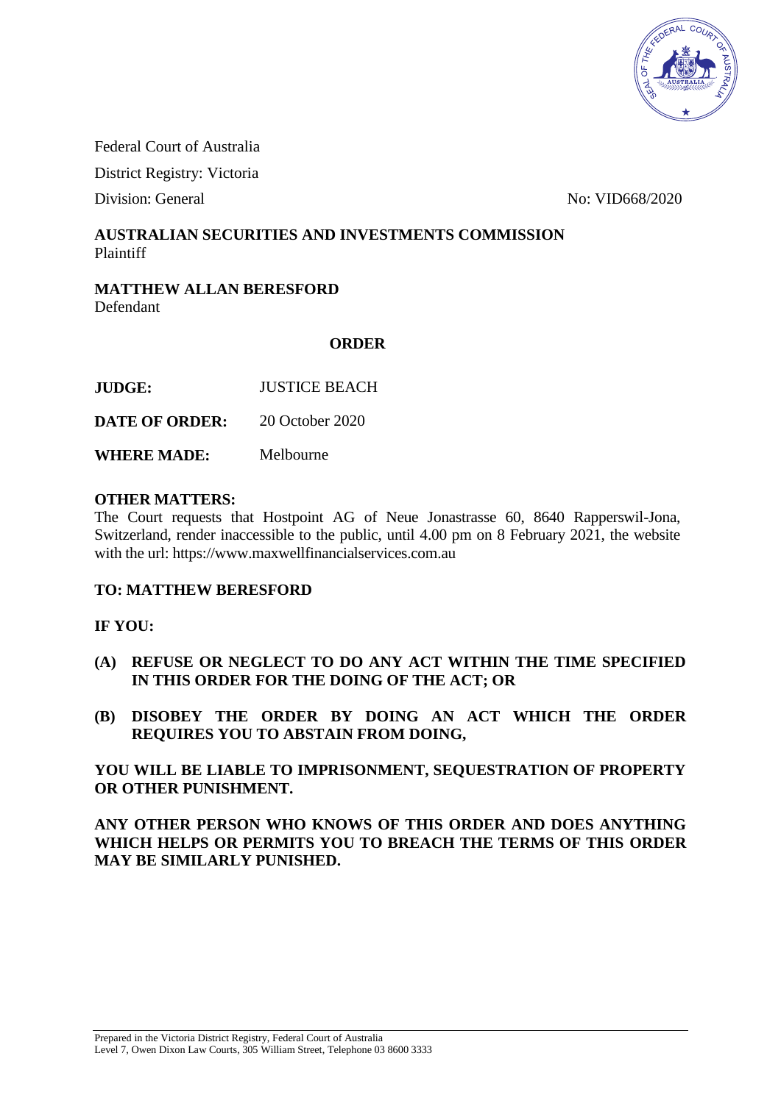

Federal Court of Australia

District Registry: Victoria

Division: General No: VID668/2020

## **AUSTRALIAN SECURITIES AND INVESTMENTS COMMISSION** Plaintiff

### **MATTHEW ALLAN BERESFORD** Defendant

## **ORDER**

**DATE OF ORDER:** 20 October 2020

**WHERE MADE:** Melbourne

### **OTHER MATTERS:**

The Court requests that Hostpoint AG of Neue Jonastrasse 60, 8640 Rapperswil-Jona, Switzerland, render inaccessible to the public, until 4.00 pm on 8 February 2021, the website with the url: https://www.maxwellfinancialservices.com.au

## **TO: MATTHEW BERESFORD**

## **IF YOU:**

- **(A) REFUSE OR NEGLECT TO DO ANY ACT WITHIN THE TIME SPECIFIED IN THIS ORDER FOR THE DOING OF THE ACT; OR**
- **(B) DISOBEY THE ORDER BY DOING AN ACT WHICH THE ORDER REQUIRES YOU TO ABSTAIN FROM DOING,**

**YOU WILL BE LIABLE TO IMPRISONMENT, SEQUESTRATION OF PROPERTY OR OTHER PUNISHMENT.** 

**ANY OTHER PERSON WHO KNOWS OF THIS ORDER AND DOES ANYTHING WHICH HELPS OR PERMITS YOU TO BREACH THE TERMS OF THIS ORDER MAY BE SIMILARLY PUNISHED.**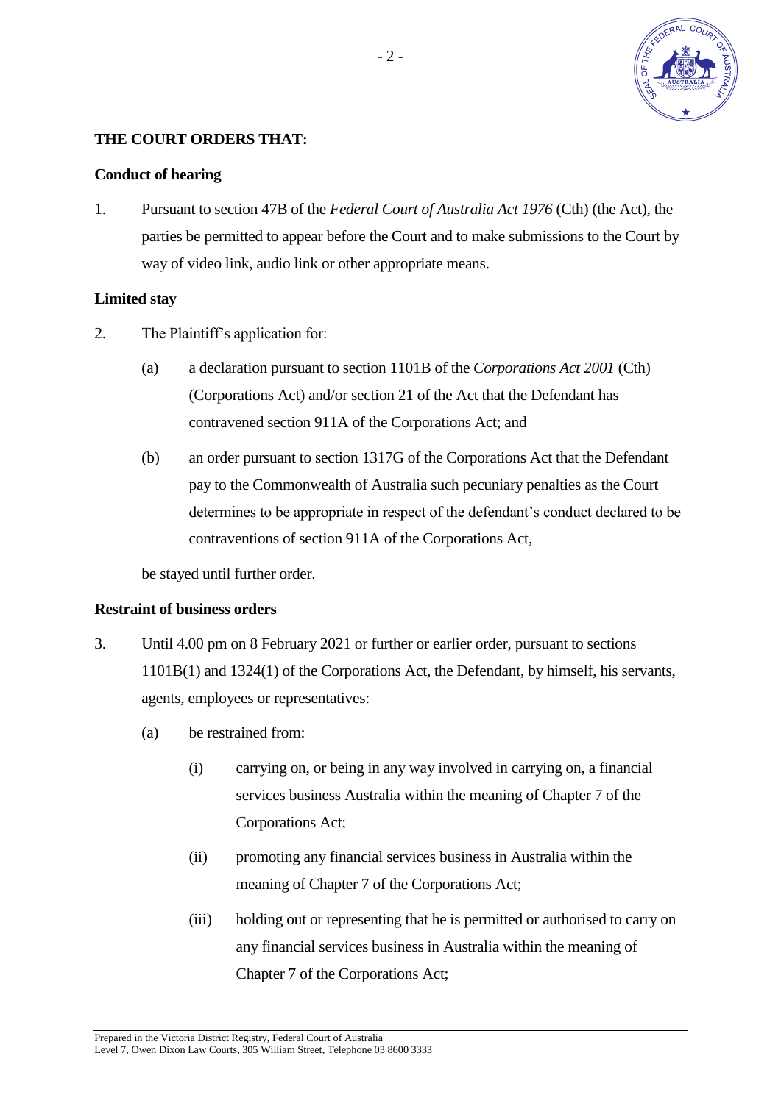

## **THE COURT ORDERS THAT:**

#### **Conduct of hearing**

1. Pursuant to section 47B of the *Federal Court of Australia Act 1976* (Cth) (the Act), the parties be permitted to appear before the Court and to make submissions to the Court by way of video link, audio link or other appropriate means.

#### **Limited stay**

- 2. The Plaintiff's application for:
	- (a) a declaration pursuant to section 1101B of the *Corporations Act 2001* (Cth) (Corporations Act) and/or section 21 of the Act that the Defendant has contravened section 911A of the Corporations Act; and
	- (b) an order pursuant to section 1317G of the Corporations Act that the Defendant pay to the Commonwealth of Australia such pecuniary penalties as the Court determines to be appropriate in respect of the defendant's conduct declared to be contraventions of section 911A of the Corporations Act,

be stayed until further order.

#### **Restraint of business orders**

- 3. Until 4.00 pm on 8 February 2021 or further or earlier order, pursuant to sections 1101B(1) and 1324(1) of the Corporations Act, the Defendant, by himself, his servants, agents, employees or representatives:
	- (a) be restrained from:
		- (i) carrying on, or being in any way involved in carrying on, a financial services business Australia within the meaning of Chapter 7 of the Corporations Act;
		- (ii) promoting any financial services business in Australia within the meaning of Chapter 7 of the Corporations Act;
		- (iii) holding out or representing that he is permitted or authorised to carry on any financial services business in Australia within the meaning of Chapter 7 of the Corporations Act;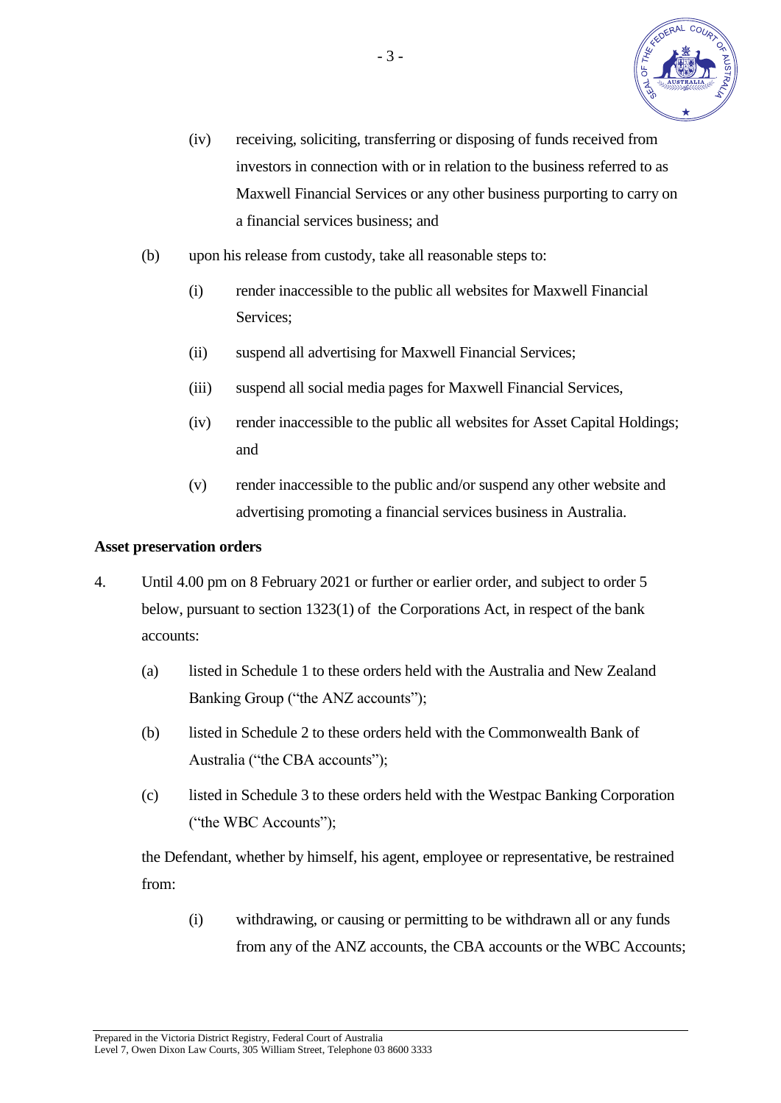

- (iv) receiving, soliciting, transferring or disposing of funds received from investors in connection with or in relation to the business referred to as Maxwell Financial Services or any other business purporting to carry on a financial services business; and
- (b) upon his release from custody, take all reasonable steps to:
	- (i) render inaccessible to the public all websites for Maxwell Financial Services;
	- (ii) suspend all advertising for Maxwell Financial Services;
	- (iii) suspend all social media pages for Maxwell Financial Services,
	- (iv) render inaccessible to the public all websites for Asset Capital Holdings; and
	- (v) render inaccessible to the public and/or suspend any other website and advertising promoting a financial services business in Australia.

#### **Asset preservation orders**

- 4. Until 4.00 pm on 8 February 2021 or further or earlier order, and subject to order 5 below, pursuant to section 1323(1) of the Corporations Act, in respect of the bank accounts:
	- (a) listed in Schedule 1 to these orders held with the Australia and New Zealand Banking Group ("the ANZ accounts");
	- (b) listed in Schedule 2 to these orders held with the Commonwealth Bank of Australia ("the CBA accounts");
	- (c) listed in Schedule 3 to these orders held with the Westpac Banking Corporation ("the WBC Accounts");

 the Defendant, whether by himself, his agent, employee or representative, be restrained from:

 (i) withdrawing, or causing or permitting to be withdrawn all or any funds from any of the ANZ accounts, the CBA accounts or the WBC Accounts;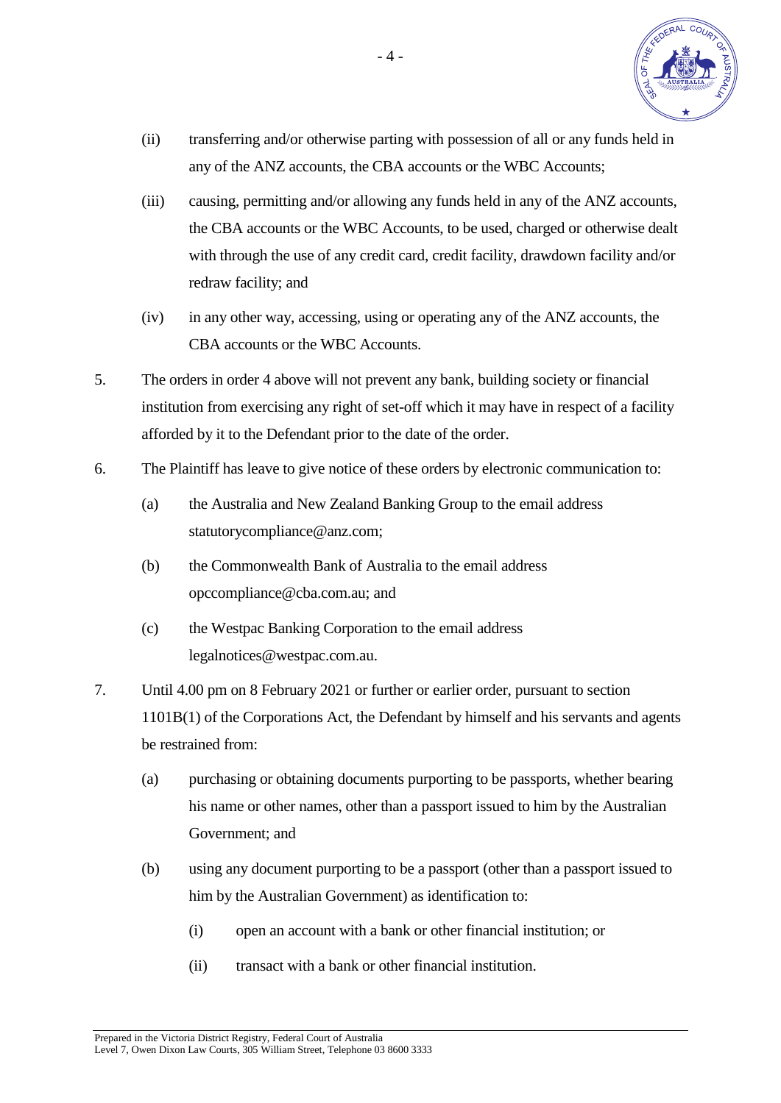

- (ii) transferring and/or otherwise parting with possession of all or any funds held in any of the ANZ accounts, the CBA accounts or the WBC Accounts;
- (iii) causing, permitting and/or allowing any funds held in any of the ANZ accounts, the CBA accounts or the WBC Accounts, to be used, charged or otherwise dealt with through the use of any credit card, credit facility, drawdown facility and/or redraw facility; and
- (iv) in any other way, accessing, using or operating any of the ANZ accounts, the CBA accounts or the WBC Accounts.
- 5. The orders in order 4 above will not prevent any bank, building society or financial institution from exercising any right of set-off which it may have in respect of a facility afforded by it to the Defendant prior to the date of the order.
- 6. The Plaintiff has leave to give notice of these orders by electronic communication to:
	- (a) the Australia and New Zealand Banking Group to the email address statutorycompliance@anz.com;
	- (b) the Commonwealth Bank of Australia to the email address opccompliance@cba.com.au; and
	- (c) the Westpac Banking Corporation to the email address legalnotices@westpac.com.au.
- 7. Until 4.00 pm on 8 February 2021 or further or earlier order, pursuant to section 1101B(1) of the Corporations Act, the Defendant by himself and his servants and agents be restrained from:
	- (a) purchasing or obtaining documents purporting to be passports, whether bearing his name or other names, other than a passport issued to him by the Australian Government; and
	- (b) using any document purporting to be a passport (other than a passport issued to him by the Australian Government) as identification to:
		- (i) open an account with a bank or other financial institution; or
		- (ii) transact with a bank or other financial institution.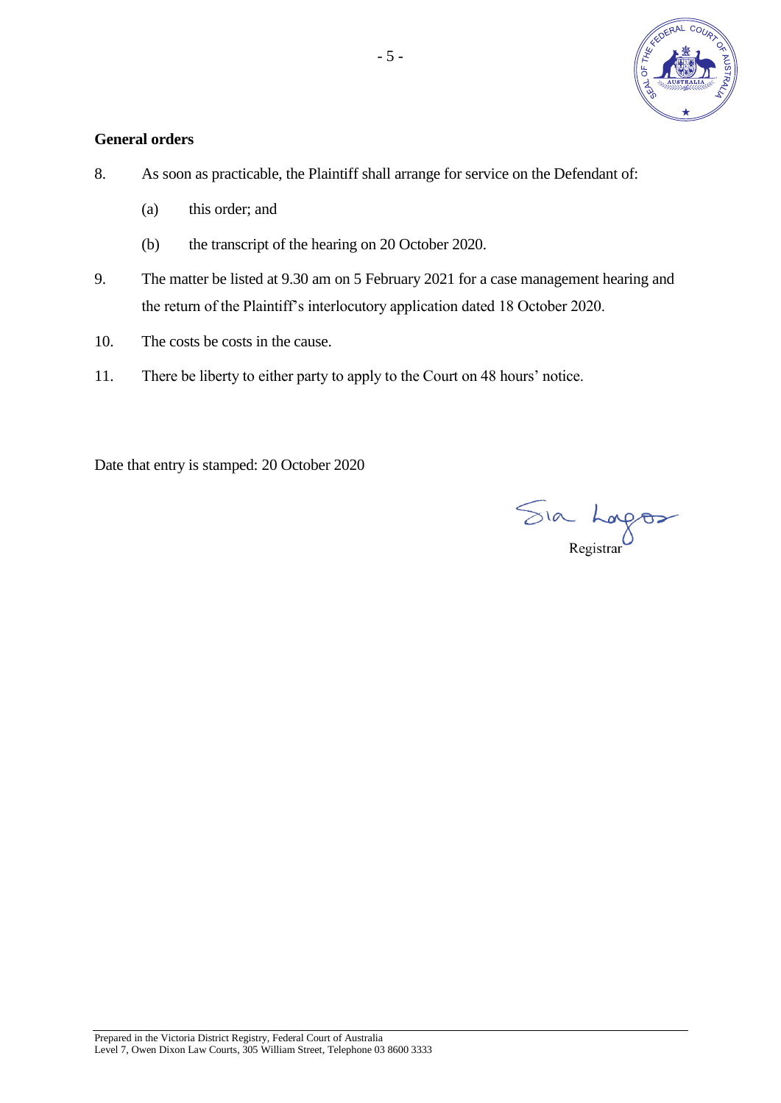

## **General orders**

- 8. As soon as practicable, the Plaintiff shall arrange for service on the Defendant of:
	- (a) this order; and
	- (b) the transcript of the hearing on 20 October 2020.
- 9. The matter be listed at 9.30 am on 5 February 2021 for a case management hearing and the return of the Plaintiff's interlocutory application dated 18 October 2020.
- 10. The costs be costs in the cause.
- 11. There be liberty to either party to apply to the Court on 48 hours' notice.

Date that entry is stamped: 20 October 2020

Sia Lagos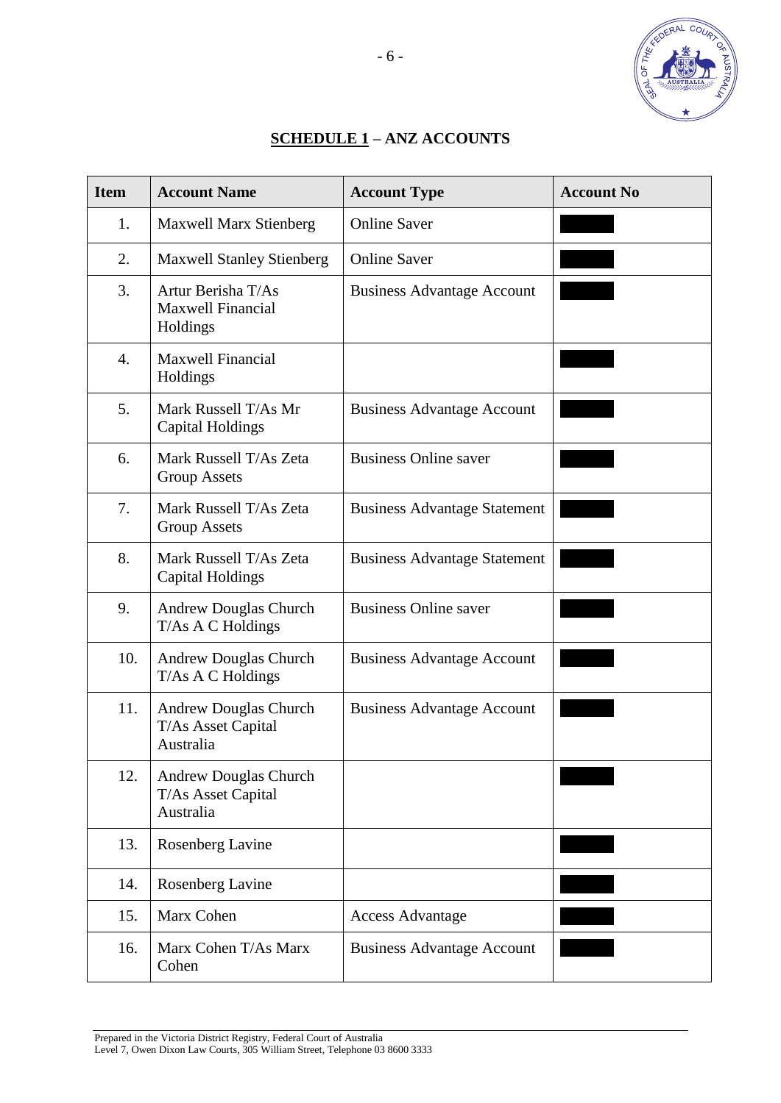

## **SCHEDULE 1 – ANZ ACCOUNTS**

| <b>Item</b> | <b>Account Name</b>                                             | <b>Account Type</b>                 | <b>Account No</b> |
|-------------|-----------------------------------------------------------------|-------------------------------------|-------------------|
| 1.          | <b>Maxwell Marx Stienberg</b>                                   | <b>Online Saver</b>                 |                   |
| 2.          | <b>Maxwell Stanley Stienberg</b>                                | <b>Online Saver</b>                 |                   |
| 3.          | Artur Berisha T/As<br><b>Maxwell Financial</b><br>Holdings      | <b>Business Advantage Account</b>   |                   |
| 4.          | <b>Maxwell Financial</b><br>Holdings                            |                                     |                   |
| 5.          | Mark Russell T/As Mr<br>Capital Holdings                        | <b>Business Advantage Account</b>   |                   |
| 6.          | Mark Russell T/As Zeta<br><b>Group Assets</b>                   | <b>Business Online saver</b>        |                   |
| 7.          | Mark Russell T/As Zeta<br><b>Group Assets</b>                   | <b>Business Advantage Statement</b> |                   |
| 8.          | Mark Russell T/As Zeta<br><b>Capital Holdings</b>               | <b>Business Advantage Statement</b> |                   |
| 9.          | <b>Andrew Douglas Church</b><br>T/As A C Holdings               | <b>Business Online saver</b>        |                   |
| 10.         | <b>Andrew Douglas Church</b><br>T/As A C Holdings               | <b>Business Advantage Account</b>   |                   |
| 11.         | <b>Andrew Douglas Church</b><br>T/As Asset Capital<br>Australia | <b>Business Advantage Account</b>   |                   |
| 12.         | <b>Andrew Douglas Church</b><br>T/As Asset Capital<br>Australia |                                     |                   |
| 13.         | Rosenberg Lavine                                                |                                     |                   |
| 14.         | Rosenberg Lavine                                                |                                     |                   |
| 15.         | Marx Cohen                                                      | <b>Access Advantage</b>             |                   |
| 16.         | Marx Cohen T/As Marx<br>Cohen                                   | <b>Business Advantage Account</b>   |                   |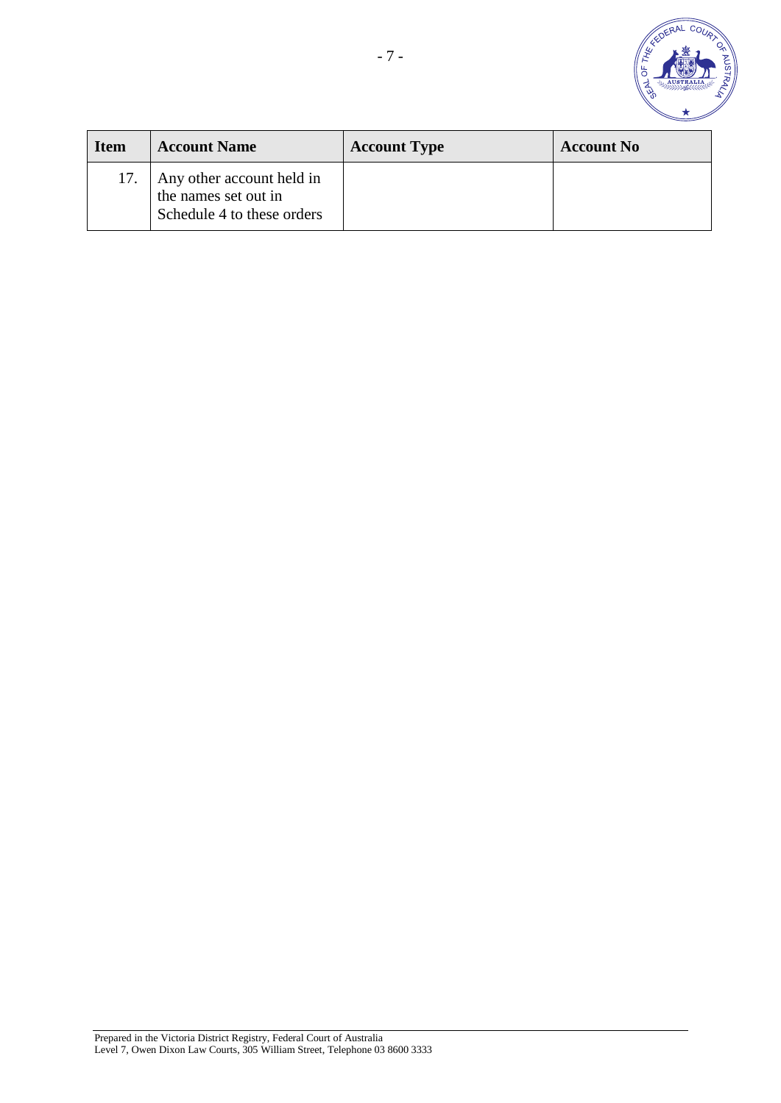

| <b>Item</b> | <b>Account Name</b>                                                             | <b>Account Type</b> | <b>Account No</b> |
|-------------|---------------------------------------------------------------------------------|---------------------|-------------------|
| 17.         | Any other account held in<br>the names set out in<br>Schedule 4 to these orders |                     |                   |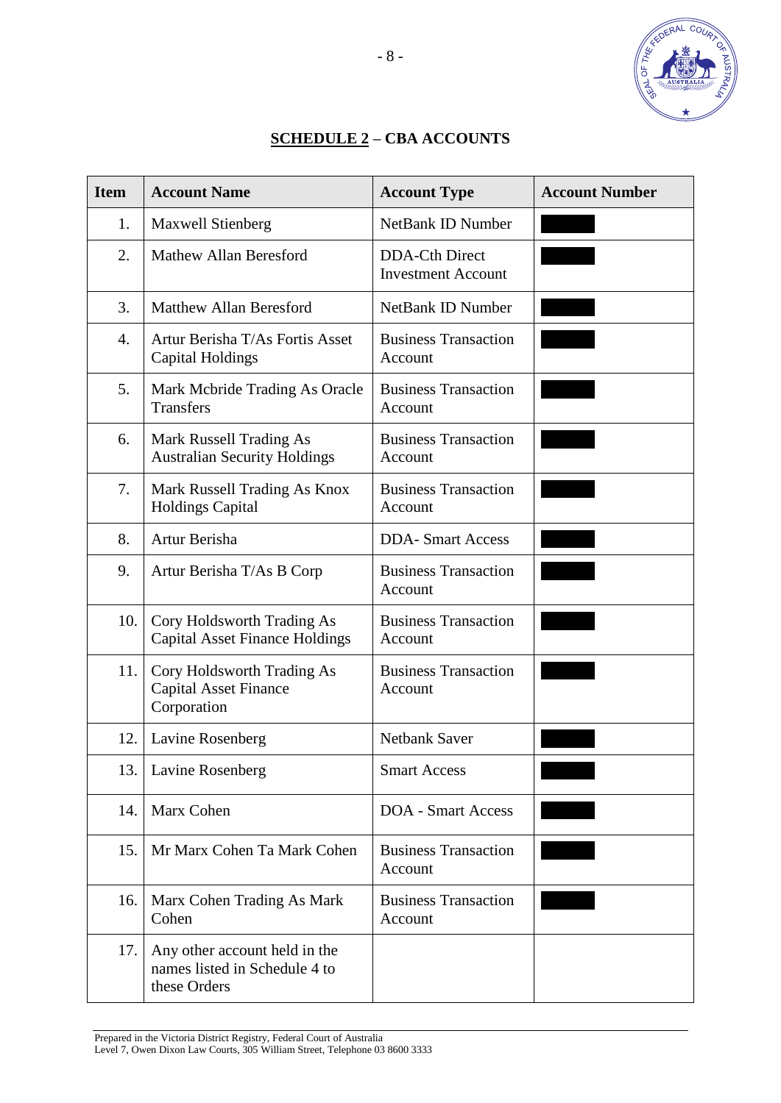

## **SCHEDULE 2 – CBA ACCOUNTS**

| <b>Item</b> | <b>Account Name</b>                                                            | <b>Account Type</b>                                | <b>Account Number</b> |
|-------------|--------------------------------------------------------------------------------|----------------------------------------------------|-----------------------|
| 1.          | <b>Maxwell Stienberg</b>                                                       | <b>NetBank ID Number</b>                           |                       |
| 2.          | <b>Mathew Allan Beresford</b>                                                  | <b>DDA-Cth Direct</b><br><b>Investment Account</b> |                       |
| 3.          | <b>Matthew Allan Beresford</b>                                                 | <b>NetBank ID Number</b>                           |                       |
| 4.          | Artur Berisha T/As Fortis Asset<br><b>Capital Holdings</b>                     | <b>Business Transaction</b><br>Account             |                       |
| 5.          | Mark Mcbride Trading As Oracle<br>Transfers                                    | <b>Business Transaction</b><br>Account             |                       |
| 6.          | Mark Russell Trading As<br><b>Australian Security Holdings</b>                 | <b>Business Transaction</b><br>Account             |                       |
| 7.          | Mark Russell Trading As Knox<br><b>Holdings Capital</b>                        | <b>Business Transaction</b><br>Account             |                       |
| 8.          | Artur Berisha                                                                  | <b>DDA-Smart Access</b>                            |                       |
| 9.          | Artur Berisha T/As B Corp                                                      | <b>Business Transaction</b><br>Account             |                       |
| 10.         | Cory Holdsworth Trading As<br><b>Capital Asset Finance Holdings</b>            | <b>Business Transaction</b><br>Account             |                       |
| 11.         | Cory Holdsworth Trading As<br><b>Capital Asset Finance</b><br>Corporation      | <b>Business Transaction</b><br>Account             |                       |
| 12.         | Lavine Rosenberg                                                               | <b>Netbank Saver</b>                               |                       |
| 13.         | Lavine Rosenberg                                                               | <b>Smart Access</b>                                |                       |
| 14.         | Marx Cohen                                                                     | <b>DOA</b> - Smart Access                          |                       |
| 15.         | Mr Marx Cohen Ta Mark Cohen                                                    | <b>Business Transaction</b><br>Account             |                       |
| 16.         | Marx Cohen Trading As Mark<br>Cohen                                            | <b>Business Transaction</b><br>Account             |                       |
| 17.         | Any other account held in the<br>names listed in Schedule 4 to<br>these Orders |                                                    |                       |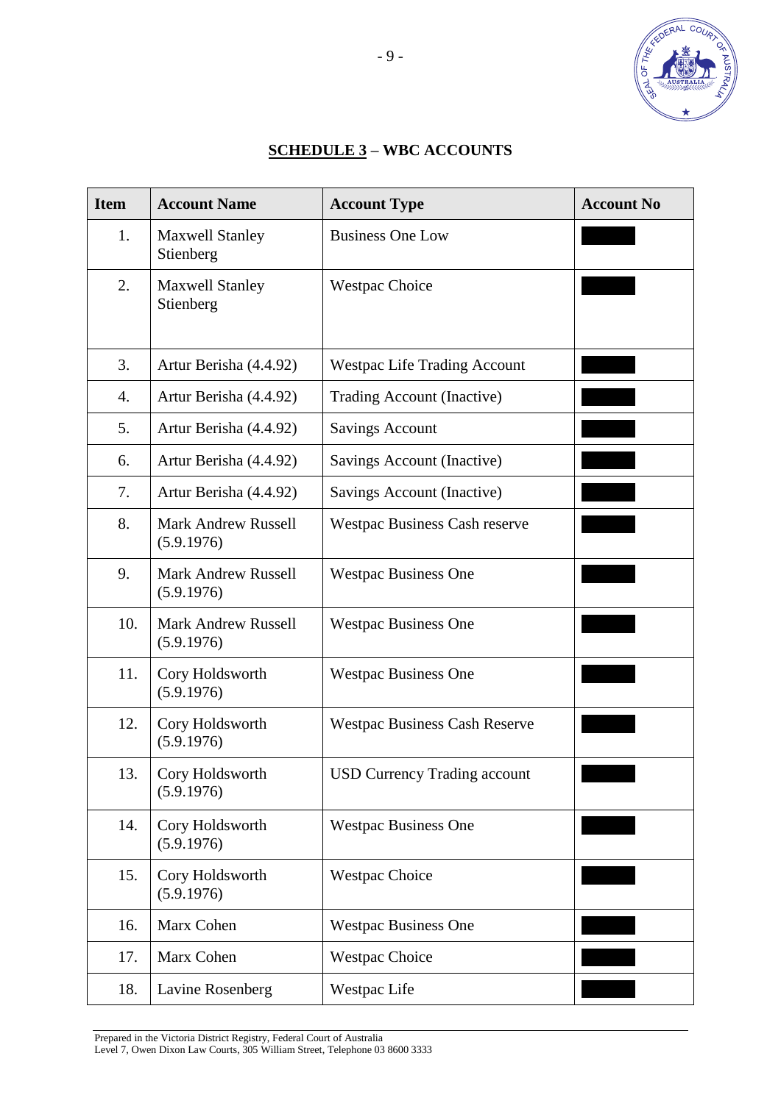

# **SCHEDULE 3 – WBC ACCOUNTS**

| <b>Item</b> | <b>Account Name</b>                      | <b>Account Type</b>                  | <b>Account No</b> |
|-------------|------------------------------------------|--------------------------------------|-------------------|
| 1.          | <b>Maxwell Stanley</b><br>Stienberg      | <b>Business One Low</b>              |                   |
| 2.          | <b>Maxwell Stanley</b><br>Stienberg      | <b>Westpac Choice</b>                |                   |
| 3.          | Artur Berisha (4.4.92)                   | <b>Westpac Life Trading Account</b>  |                   |
| 4.          | Artur Berisha (4.4.92)                   | Trading Account (Inactive)           |                   |
| 5.          | Artur Berisha (4.4.92)                   | <b>Savings Account</b>               |                   |
| 6.          | Artur Berisha (4.4.92)                   | Savings Account (Inactive)           |                   |
| 7.          | Artur Berisha (4.4.92)                   | Savings Account (Inactive)           |                   |
| 8.          | <b>Mark Andrew Russell</b><br>(5.9.1976) | <b>Westpac Business Cash reserve</b> |                   |
| 9.          | <b>Mark Andrew Russell</b><br>(5.9.1976) | <b>Westpac Business One</b>          |                   |
| 10.         | <b>Mark Andrew Russell</b><br>(5.9.1976) | <b>Westpac Business One</b>          |                   |
| 11.         | Cory Holdsworth<br>(5.9.1976)            | <b>Westpac Business One</b>          |                   |
| 12.         | Cory Holdsworth<br>(5.9.1976)            | <b>Westpac Business Cash Reserve</b> |                   |
| 13.         | Cory Holdsworth<br>(5.9.1976)            | <b>USD Currency Trading account</b>  |                   |
| 14.         | Cory Holdsworth<br>(5.9.1976)            | <b>Westpac Business One</b>          |                   |
| 15.         | Cory Holdsworth<br>(5.9.1976)            | <b>Westpac Choice</b>                |                   |
| 16.         | Marx Cohen                               | <b>Westpac Business One</b>          |                   |
| 17.         | Marx Cohen                               | <b>Westpac Choice</b>                |                   |
| 18.         | Lavine Rosenberg                         | Westpac Life                         |                   |

Prepared in the Victoria District Registry, Federal Court of Australia

Level 7, Owen Dixon Law Courts, 305 William Street, Telephone 03 8600 3333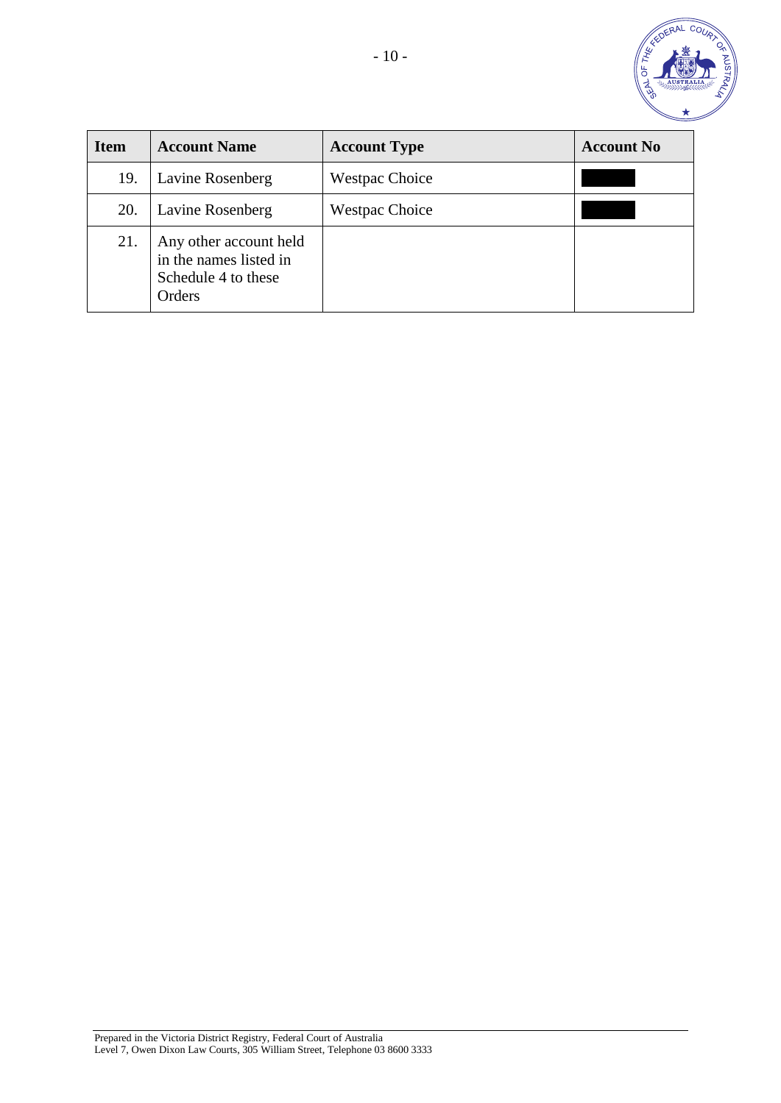

| <b>Item</b> | <b>Account Name</b>                                                               | <b>Account Type</b>   | <b>Account No</b> |
|-------------|-----------------------------------------------------------------------------------|-----------------------|-------------------|
| 19.         | Lavine Rosenberg                                                                  | <b>Westpac Choice</b> |                   |
| 20.         | <b>Lavine Rosenberg</b>                                                           | <b>Westpac Choice</b> |                   |
| 21.         | Any other account held<br>in the names listed in<br>Schedule 4 to these<br>Orders |                       |                   |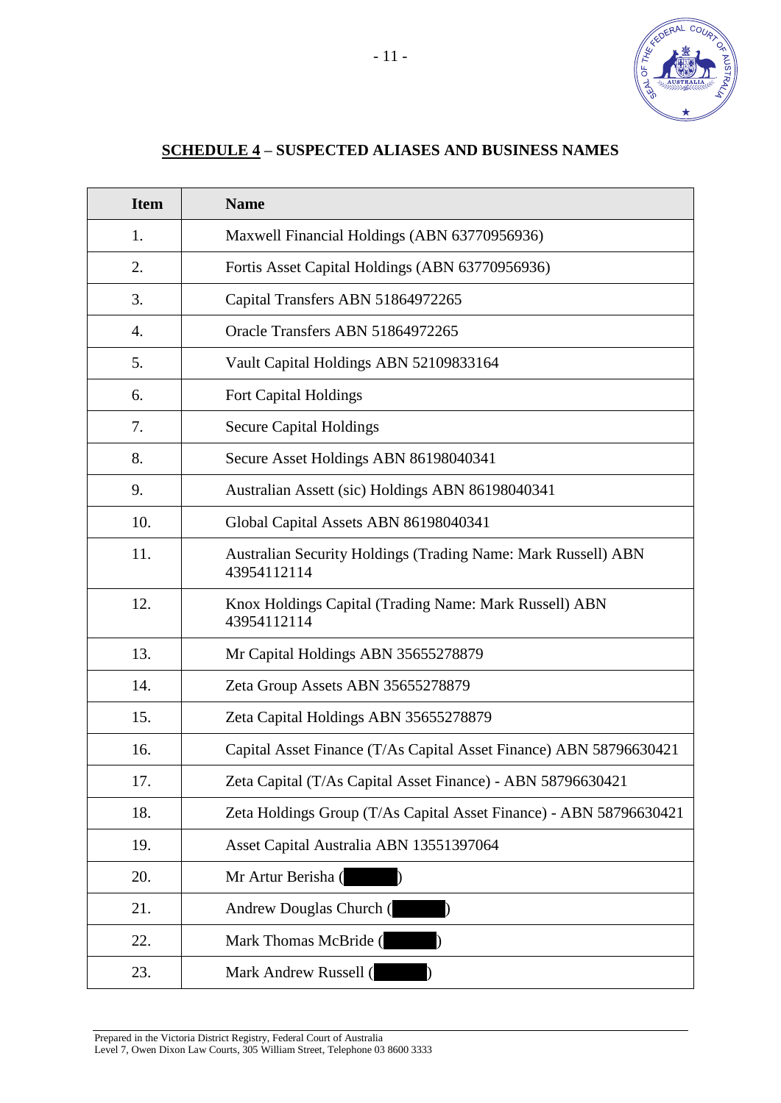

# **SCHEDULE 4 – SUSPECTED ALIASES AND BUSINESS NAMES**

| <b>Item</b> | <b>Name</b>                                                                  |
|-------------|------------------------------------------------------------------------------|
| 1.          | Maxwell Financial Holdings (ABN 63770956936)                                 |
| 2.          | Fortis Asset Capital Holdings (ABN 63770956936)                              |
| 3.          | Capital Transfers ABN 51864972265                                            |
| 4.          | Oracle Transfers ABN 51864972265                                             |
| 5.          | Vault Capital Holdings ABN 52109833164                                       |
| 6.          | Fort Capital Holdings                                                        |
| 7.          | <b>Secure Capital Holdings</b>                                               |
| 8.          | Secure Asset Holdings ABN 86198040341                                        |
| 9.          | Australian Assett (sic) Holdings ABN 86198040341                             |
| 10.         | Global Capital Assets ABN 86198040341                                        |
| 11.         | Australian Security Holdings (Trading Name: Mark Russell) ABN<br>43954112114 |
| 12.         | Knox Holdings Capital (Trading Name: Mark Russell) ABN<br>43954112114        |
| 13.         | Mr Capital Holdings ABN 35655278879                                          |
| 14.         | Zeta Group Assets ABN 35655278879                                            |
| 15.         | Zeta Capital Holdings ABN 35655278879                                        |
| 16.         | Capital Asset Finance (T/As Capital Asset Finance) ABN 58796630421           |
| 17.         | Zeta Capital (T/As Capital Asset Finance) - ABN 58796630421                  |
| 18.         | Zeta Holdings Group (T/As Capital Asset Finance) - ABN 58796630421           |
| 19.         | Asset Capital Australia ABN 13551397064                                      |
| 20.         | Mr Artur Berisha (                                                           |
| 21.         | Andrew Douglas Church (                                                      |
| 22.         | Mark Thomas McBride (                                                        |
| 23.         | Mark Andrew Russell (                                                        |